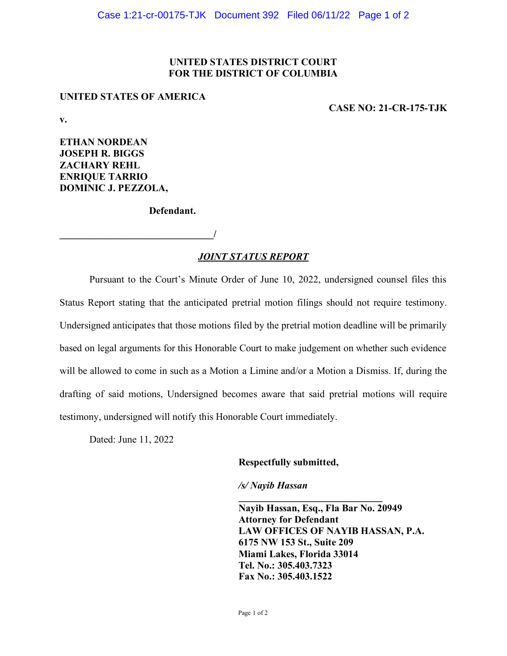### **UNITED STATES DISTRICT COURT FOR THE DISTRICT OF COLUMBIA**

### **UNITED STATES OF AMERICA**

**CASE NO: 21-CR-175-TJK**

**v.**

**ETHAN NORDEAN JOSEPH R. BIGGS ZACHARY REHL ENRIQUE TARRIO DOMINIC J. PEZZOLA,** 

**Defendant.** 

 $\overline{\phantom{a}}$ 

# *JOINT STATUS REPORT*

Pursuant to the Court's Minute Order of June 10, 2022, undersigned counsel files this Status Report stating that the anticipated pretrial motion filings should not require testimony. Undersigned anticipates that those motions filed by the pretrial motion deadline will be primarily based on legal arguments for this Honorable Court to make judgement on whether such evidence will be allowed to come in such as a Motion a Limine and/or a Motion a Dismiss. If, during the drafting of said motions, Undersigned becomes aware that said pretrial motions will require testimony, undersigned will notify this Honorable Court immediately.

Dated: June 11, 2022

### **Respectfully submitted,**

*/s/ Nayib Hassan* 

**Nayib Hassan, Esq., Fla Bar No. 20949 Attorney for Defendant LAW OFFICES OF NAYIB HASSAN, P.A. 6175 NW 153 St., Suite 209 Miami Lakes, Florida 33014 Tel. No.: 305.403.7323 Fax No.: 305.403.1522**

**\_\_\_\_\_\_\_\_\_\_\_\_\_\_\_\_\_\_\_\_\_\_\_\_\_\_\_\_\_**